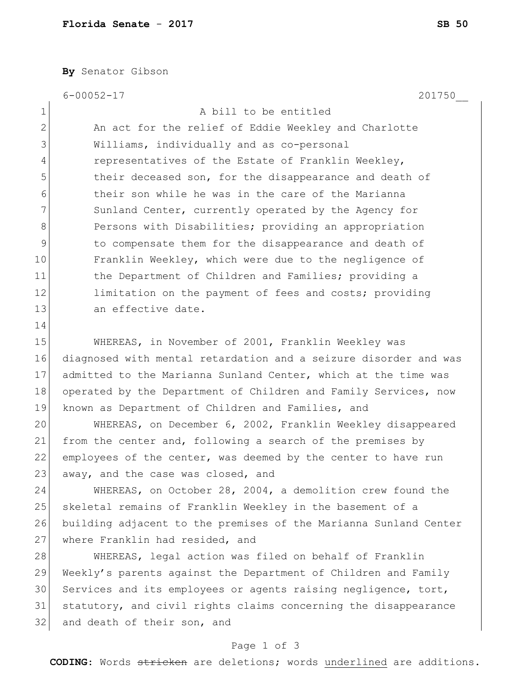**By** Senator Gibson

6-00052-17 201750\_\_

1 A bill to be entitled 2 An act for the relief of Eddie Weekley and Charlotte 3 Williams, individually and as co-personal 4 representatives of the Estate of Franklin Weekley, 5 5 their deceased son, for the disappearance and death of 6 6 their son while he was in the care of the Marianna 7 Sunland Center, currently operated by the Agency for 8 Persons with Disabilities; providing an appropriation 9 10 9 to compensate them for the disappearance and death of 10 Franklin Weekley, which were due to the negligence of 11 the Department of Children and Families; providing a 12 limitation on the payment of fees and costs; providing 13 an effective date. 14 15 WHEREAS, in November of 2001, Franklin Weekley was 16 diagnosed with mental retardation and a seizure disorder and was 17 admitted to the Marianna Sunland Center, which at the time was 18 operated by the Department of Children and Family Services, now 19 known as Department of Children and Families, and 20 WHEREAS, on December 6, 2002, Franklin Weekley disappeared 21 from the center and, following a search of the premises by 22 employees of the center, was deemed by the center to have run 23 away, and the case was closed, and 24 WHEREAS, on October 28, 2004, a demolition crew found the 25 skeletal remains of Franklin Weekley in the basement of a 26 building adjacent to the premises of the Marianna Sunland Center 27 where Franklin had resided, and 28 WHEREAS, legal action was filed on behalf of Franklin 29 Weekly's parents against the Department of Children and Family 30 Services and its employees or agents raising negligence, tort, 31 statutory, and civil rights claims concerning the disappearance 32 and death of their son, and

## Page 1 of 3

**CODING**: Words stricken are deletions; words underlined are additions.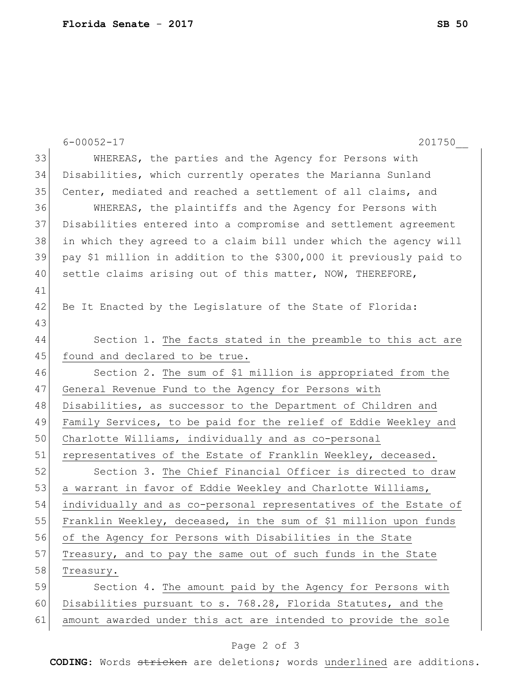|    | 201750<br>$6 - 00052 - 17$                                         |
|----|--------------------------------------------------------------------|
| 33 | WHEREAS, the parties and the Agency for Persons with               |
| 34 | Disabilities, which currently operates the Marianna Sunland        |
| 35 | Center, mediated and reached a settlement of all claims, and       |
| 36 | WHEREAS, the plaintiffs and the Agency for Persons with            |
| 37 | Disabilities entered into a compromise and settlement agreement    |
| 38 | in which they agreed to a claim bill under which the agency will   |
| 39 | pay \$1 million in addition to the \$300,000 it previously paid to |
| 40 | settle claims arising out of this matter, NOW, THEREFORE,          |
| 41 |                                                                    |
| 42 | Be It Enacted by the Legislature of the State of Florida:          |
| 43 |                                                                    |
| 44 | Section 1. The facts stated in the preamble to this act are        |
| 45 | found and declared to be true.                                     |
| 46 | Section 2. The sum of \$1 million is appropriated from the         |
| 47 | General Revenue Fund to the Agency for Persons with                |
| 48 | Disabilities, as successor to the Department of Children and       |
| 49 | Family Services, to be paid for the relief of Eddie Weekley and    |
| 50 | Charlotte Williams, individually and as co-personal                |
| 51 | representatives of the Estate of Franklin Weekley, deceased.       |
| 52 | Section 3. The Chief Financial Officer is directed to draw         |
| 53 | a warrant in favor of Eddie Weekley and Charlotte Williams,        |
| 54 | individually and as co-personal representatives of the Estate of   |
| 55 | Franklin Weekley, deceased, in the sum of \$1 million upon funds   |
| 56 | of the Agency for Persons with Disabilities in the State           |
| 57 | Treasury, and to pay the same out of such funds in the State       |
| 58 | Treasury.                                                          |
| 59 | Section 4. The amount paid by the Agency for Persons with          |
| 60 |                                                                    |
|    | Disabilities pursuant to s. 768.28, Florida Statutes, and the      |

## Page 2 of 3

**CODING**: Words stricken are deletions; words underlined are additions.